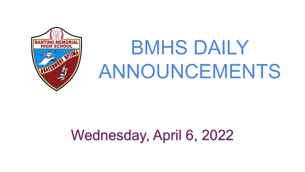

# BMHS DAILY ANNOUNCEMENTS

# Wednesday, April 6, 2022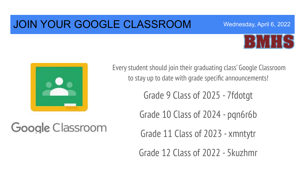### JOIN YOUR GOOGLE CLASSROOM





Every student should join their graduating class' Google Classroom to stay up to date with grade specific announcements!

Grade 9 Class of 2025 - 7fdotgt

Grade 10 Class of 2024 - pqn6r6b

Google Classroom

Grade 11 Class of 2023 - xmntytr

Grade 12 Class of 2022 - 5kuzhmr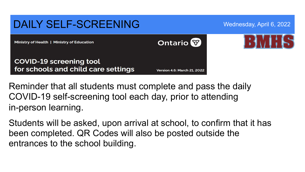### DAILY SELF-SCREENING Wednesday, April 6, 2022 **Ontario** Ministry of Health | Ministry of Education **COVID-19 screening tool** for schools and child care settings **Version 4.6: March 21, 2022**

Reminder that all students must complete and pass the daily COVID-19 self-screening tool each day, prior to attending in-person learning.

Students will be asked, upon arrival at school, to confirm that it has been completed. QR Codes will also be posted outside the entrances to the school building.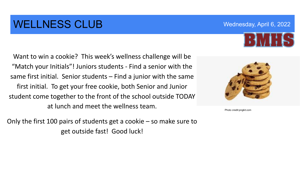### WELLNESS CLUB Wednesday, April 6, 2022

Want to win a cookie? This week's wellness challenge will be "Match your Initials"! Juniors students - Find a senior with the same first initial. Senior students – Find a junior with the same first initial. To get your free cookie, both Senior and Junior student come together to the front of the school outside TODAY at lunch and meet the wellness team.

Only the first 100 pairs of students get a cookie – so make sure to get outside fast! Good luck!



Photo credit:pngkit.com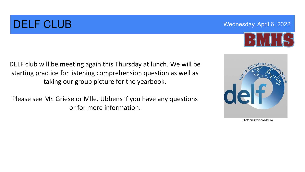# DELF CLUB Wednesday, April 6, 2022



DELF club will be meeting again this Thursday at lunch. We will be starting practice for listening comprehension question as well as taking our group picture for the yearbook.

Please see Mr. Griese or Mlle. Ubbens if you have any questions or for more information.



Photo credit:sjb.hwcdsb.ca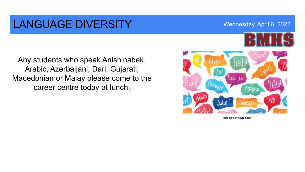### LANGUAGE DIVERSITY Wednesday, April 6, 2022

Any students who speak Anishinabek, Arabic, Azerbaijani, Dari, Gujarati, Macedonian or Malay please come to the career centre today at lunch.



Photo credit:myhuron.com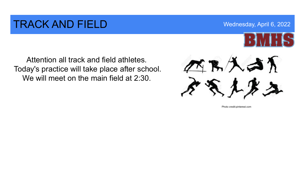### **TRACK AND FIELD** Wednesday, April 6, 2022



Attention all track and field athletes. Today's practice will take place after school. We will meet on the main field at 2:30.



Photo credit:pinterest.com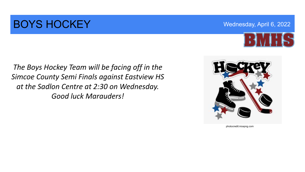### **BOYS HOCKEY** Wednesday, April 6, 2022



*The Boys Hockey Team will be facing off in the Simcoe County Semi Finals against Eastview HS at the Sadlon Centre at 2:30 on Wednesday. Good luck Marauders!* 



photocredit:nicepng.com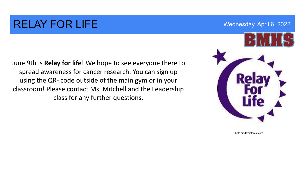### RELAY FOR LIFE WEDGE Wednesday, April 6, 2022

June 9th is **Relay for life**! We hope to see everyone there to spread awareness for cancer research. You can sign up using the QR- code outside of the main gym or in your classroom! Please contact Ms. Mitchell and the Leadership class for any further questions.



Photo credit:pinterest.com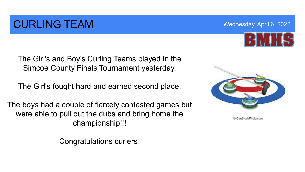# CURLING TEAM Wednesday, April 6, 2022

The Girl's and Boy's Curling Teams played in the Simcoe County Finals Tournament yesterday.

The Girl's fought hard and earned second place.

The boys had a couple of fiercely contested games but were able to pull out the dubs and bring home the championship!!!

Congratulations curlers!

CanStockPhoto.com



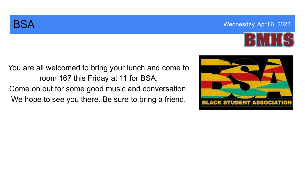### **BSA** Wednesday, April 6, 2022



You are all welcomed to bring your lunch and come to room 167 this Friday at 11 for BSA. Come on out for some good music and conversation. We hope to see you there. Be sure to bring a friend.

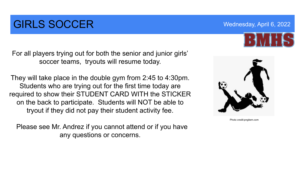# **GIRLS SOCCER** Wednesday, April 6, 2022

For all players trying out for both the senior and junior girls' soccer teams, tryouts will resume today.

They will take place in the double gym from 2:45 to 4:30pm. Students who are trying out for the first time today are required to show their STUDENT CARD WITH the STICKER on the back to participate. Students will NOT be able to tryout if they did not pay their student activity fee.

 Please see Mr. Andrez if you cannot attend or if you have any questions or concerns.



Photo credit:pngitem.com

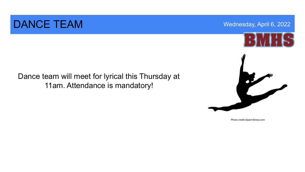### DANCE TEAM Wednesday, April 6, 2022

Dance team will meet for lyrical this Thursday at 11am. Attendance is mandatory!



Photo credit:clipart-library.com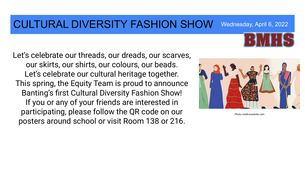### CULTURAL DIVERSITY FASHION SHOW Wednesday, April 6, 2022

Let's celebrate our threads, our dreads, our scarves, our skirts, our shirts, our colours, our beads. Let's celebrate our cultural heritage together. This spring, the Equity Team is proud to announce Banting's first Cultural Diversity Fashion Show! If you or any of your friends are interested in participating, please follow the QR code on our posters around school or visit Room 138 or 216.



Photo credit:everbrite.com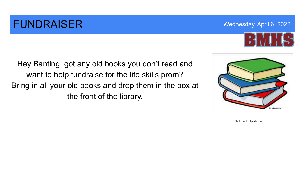### **FUNDRAISER** Wednesday, April 6, 2022



Hey Banting, got any old books you don't read and want to help fundraise for the life skills prom? Bring in all your old books and drop them in the box at the front of the library.



Photo credit:cliparts.zone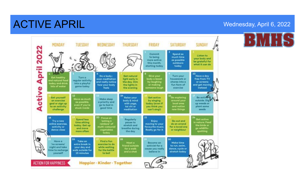# ACTIVE APRIL WEDGET AND ACTIVE APRIL